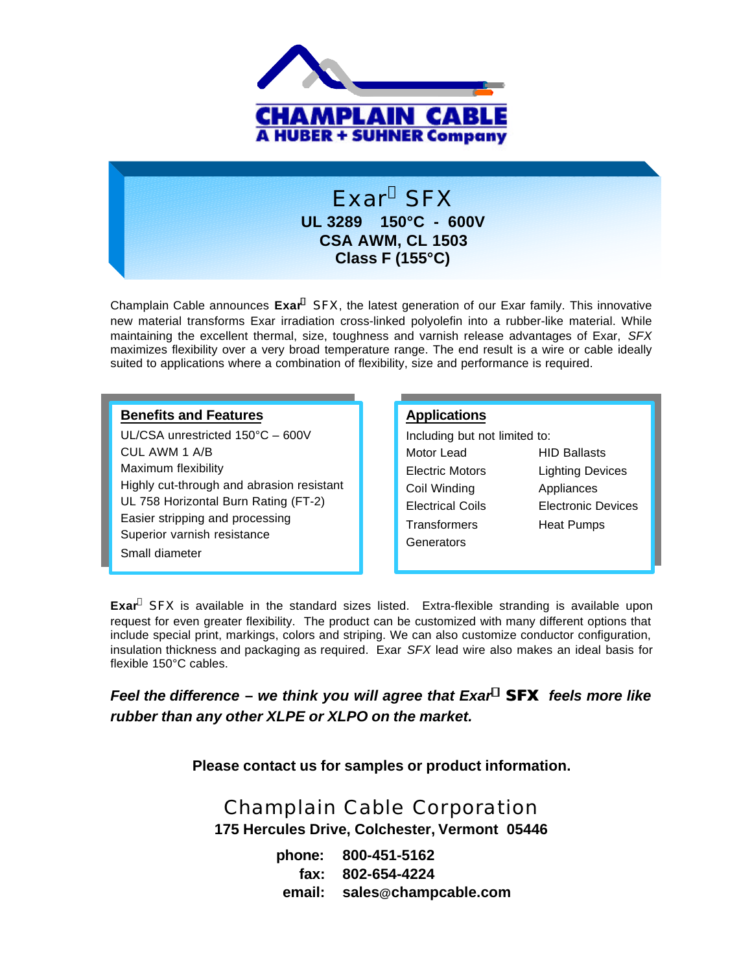

## Exar<sup>®</sup> SFX **UL 3289 150°C - 600V CSA AWM, CL 1503 Class F (155°C)**

Champlain Cable announces **Exar<sup>Ò</sup>** *SFX*, the latest generation of our Exar family. This innovative new material transforms Exar irradiation cross-linked polyolefin into a rubber-like material. While maintaining the excellent thermal, size, toughness and varnish release advantages of Exar, *SFX* maximizes flexibility over a very broad temperature range. The end result is a wire or cable ideally suited to applications where a combination of flexibility, size and performance is required.

#### **Benefits and Features**

UL/CSA unrestricted 150°C – 600V CUL AWM 1 A/B Maximum flexibility Highly cut-through and abrasion resistant UL 758 Horizontal Burn Rating (FT-2) Easier stripping and processing Superior varnish resistance Small diameter

#### **Applications**

| Including but not limited to: |                         |  |  |  |  |
|-------------------------------|-------------------------|--|--|--|--|
| Motor Lead                    | <b>HID Ballasts</b>     |  |  |  |  |
| <b>Electric Motors</b>        | <b>Lighting Devices</b> |  |  |  |  |
| Coil Winding                  | Appliances              |  |  |  |  |
| <b>Electrical Coils</b>       | Electronic Devices      |  |  |  |  |
| Transformers                  | Heat Pumps              |  |  |  |  |
| Generators                    |                         |  |  |  |  |

**Exar**<sup>®</sup> SFX is available in the standard sizes listed. Extra-flexible stranding is available upon request for even greater flexibility. The product can be customized with many different options that include special print, markings, colors and striping. We can also customize conductor configuration, insulation thickness and packaging as required. Exar *SFX* lead wire also makes an ideal basis for flexible 150°C cables.

### *Feel the difference* **–** *we think you will agree that Exar<sup>Ò</sup> SFX feels more like rubber than any other XLPE or XLPO on the market.*

**Please contact us for samples or product information.**

# Champlain Cable Corporation **175 Hercules Drive, Colchester, Vermont 05446**

**phone: 800-451-5162 fax: 802-654-4224 email: sales@champcable.com**